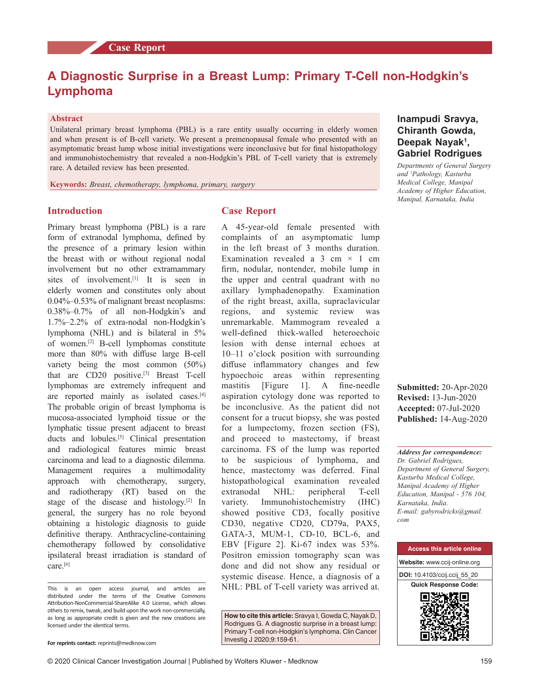# **A Diagnostic Surprise in a Breast Lump: Primary T‑Cell non‑Hodgkin's Lymphoma**

#### **Abstract**

Unilateral primary breast lymphoma (PBL) is a rare entity usually occurring in elderly women and when present is of B-cell variety. We present a premenopausal female who presented with an asymptomatic breast lump whose initial investigations were inconclusive but for final histopathology and immunohistochemistry that revealed a non-Hodgkin's PBL of T-cell variety that is extremely rare. A detailed review has been presented.

**Keywords:** *Breast, chemotherapy, lymphoma, primary, surgery*

#### **Introduction**

Primary breast lymphoma (PBL) is a rare form of extranodal lymphoma, defined by the presence of a primary lesion within the breast with or without regional nodal involvement but no other extramammary sites of involvement.<sup>[1]</sup> It is seen in elderly women and constitutes only about 0.04%–0.53% of malignant breast neoplasms: 0.38%–0.7% of all non‑Hodgkin's and 1.7%–2.2% of extra‑nodal non‑Hodgkin's lymphoma (NHL) and is bilateral in 5% of women.[2] B‑cell lymphomas constitute more than 80% with diffuse large B-cell variety being the most common (50%) that are CD20 positive.<sup>[3]</sup> Breast T-cell lymphomas are extremely infrequent and are reported mainly as isolated cases.<sup>[4]</sup> The probable origin of breast lymphoma is mucosa‑associated lymphoid tissue or the lymphatic tissue present adjacent to breast ducts and lobules.<sup>[5]</sup> Clinical presentation and radiological features mimic breast carcinoma and lead to a diagnostic dilemma. Management requires a multimodality approach with chemotherapy, surgery, and radiotherapy (RT) based on the stage of the disease and histology.<sup>[2]</sup> In general, the surgery has no role beyond obtaining a histologic diagnosis to guide definitive therapy. Anthracycline-containing chemotherapy followed by consolidative ipsilateral breast irradiation is standard of care.<sup>[6]</sup>

## **Case Report**

A 45‑year‑old female presented with complaints of an asymptomatic lump in the left breast of 3 months duration. Examination revealed a 3 cm  $\times$  1 cm firm, nodular, nontender, mobile lump in the upper and central quadrant with no axillary lymphadenopathy. Examination of the right breast, axilla, supraclavicular regions, and systemic review was unremarkable. Mammogram revealed a well-defined thick-walled heteroechoic lesion with dense internal echoes at 10–11 o'clock position with surrounding diffuse inflammatory changes and few hypoechoic areas within representing mastitis [Figure 1]. A fine-needle aspiration cytology done was reported to be inconclusive. As the patient did not consent for a trucut biopsy, she was posted for a lumpectomy, frozen section (FS), and proceed to mastectomy, if breast carcinoma. FS of the lump was reported to be suspicious of lymphoma, and hence, mastectomy was deferred. Final histopathological examination revealed extranodal NHL: peripheral T-cell variety. Immunohistochemistry (IHC) showed positive CD3, focally positive CD30, negative CD20, CD79a, PAX5, GATA-3, MUM-1, CD-10, BCL-6, and EBV [Figure 2]. Ki-67 index was 53%. Positron emission tomography scan was done and did not show any residual or systemic disease. Hence, a diagnosis of a NHL: PBL of T-cell variety was arrived at.

**How to cite this article:** Sravya I, Gowda C, Nayak D, Rodrigues G. A diagnostic surprise in a breast lump: Primary T-cell non-Hodgkin's lymphoma. Clin Cancer Investig J 2020;9:159-61.

## **Inampudi Sravya, Chiranth Gowda, Deepak Nayak<sup>1</sup> , Gabriel Rodrigues**

*Departments of General Surgery and 1 Pathology, Kasturba Medical College, Manipal Academy of Higher Education, Manipal, Karnataka, India*

**Submitted:** 20-Apr-2020 **Revised:** 13-Jun-2020 **Accepted:** 07-Jul-2020 **Published:** 14-Aug-2020

*Address for correspondence: Dr. Gabriel Rodrigues, Department of General Surgery, Kasturba Medical College, Manipal Academy of Higher Education, Manipal ‑ 576 104, Karnataka, India. E‑mail: gabyrodricks@gmail. com*



This is an open access journal, and articles are distributed under the terms of the Creative Commons Attribution‑NonCommercial‑ShareAlike 4.0 License, which allows others to remix, tweak, and build upon the work non‑commercially, as long as appropriate credit is given and the new creations are licensed under the identical terms.

**For reprints contact:** reprints@medknow.com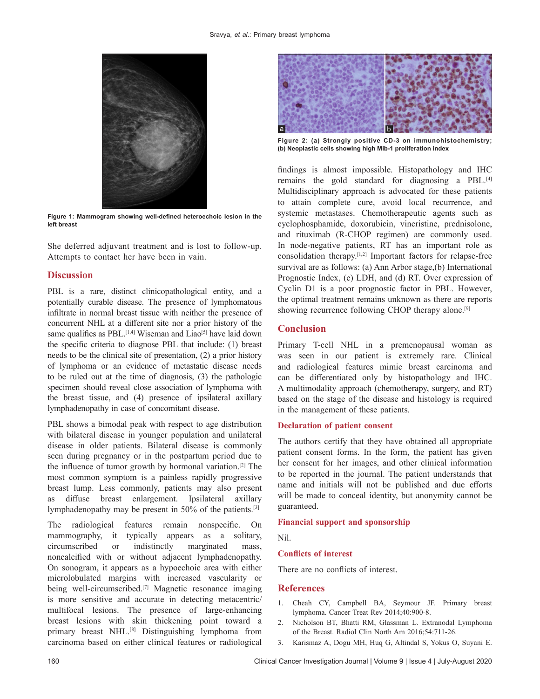

**Figure 1: Mammogram showing well‑defined heteroechoic lesion in the left breast**

She deferred adjuvant treatment and is lost to follow-up. Attempts to contact her have been in vain.

## **Discussion**

PBL is a rare, distinct clinicopathological entity, and a potentially curable disease. The presence of lymphomatous infiltrate in normal breast tissue with neither the presence of concurrent NHL at a different site nor a prior history of the same qualifies as PBL.<sup>[1,4]</sup> Wiseman and Liao<sup>[5]</sup> have laid down the specific criteria to diagnose PBL that include: (1) breast needs to be the clinical site of presentation, (2) a prior history of lymphoma or an evidence of metastatic disease needs to be ruled out at the time of diagnosis, (3) the pathologic specimen should reveal close association of lymphoma with the breast tissue, and (4) presence of ipsilateral axillary lymphadenopathy in case of concomitant disease.

PBL shows a bimodal peak with respect to age distribution with bilateral disease in younger population and unilateral disease in older patients. Bilateral disease is commonly seen during pregnancy or in the postpartum period due to the influence of tumor growth by hormonal variation.[2] The most common symptom is a painless rapidly progressive breast lump. Less commonly, patients may also present as diffuse breast enlargement. Ipsilateral axillary lymphadenopathy may be present in 50% of the patients.[3]

The radiological features remain nonspecific. On mammography, it typically appears as a solitary, circumscribed or indistinctly marginated mass, noncalcified with or without adjacent lymphadenopathy. On sonogram, it appears as a hypoechoic area with either microlobulated margins with increased vascularity or being well-circumscribed.<sup>[7]</sup> Magnetic resonance imaging is more sensitive and accurate in detecting metacentric/ multifocal lesions. The presence of large-enhancing breast lesions with skin thickening point toward a primary breast NHL.<sup>[8]</sup> Distinguishing lymphoma from carcinoma based on either clinical features or radiological



**Figure 2: (a) Strongly positive CD‑3 on immunohistochemistry; (b) Neoplastic cells showing high Mib‑1 proliferation index**

findings is almost impossible. Histopathology and IHC remains the gold standard for diagnosing a PBL.[4] Multidisciplinary approach is advocated for these patients to attain complete cure, avoid local recurrence, and systemic metastases. Chemotherapeutic agents such as cyclophosphamide, doxorubicin, vincristine, prednisolone, and rituximab (R‑CHOP regimen) are commonly used. In node‑negative patients, RT has an important role as consolidation therapy.<sup>[1,2]</sup> Important factors for relapse-free survival are as follows: (a) Ann Arbor stage,(b) International Prognostic Index, (c) LDH, and (d) RT. Over expression of Cyclin D1 is a poor prognostic factor in PBL. However, the optimal treatment remains unknown as there are reports showing recurrence following CHOP therapy alone.<sup>[9]</sup>

## **Conclusion**

Primary T-cell NHL in a premenopausal woman as was seen in our patient is extremely rare. Clinical and radiological features mimic breast carcinoma and can be differentiated only by histopathology and IHC. A multimodality approach (chemotherapy, surgery, and RT) based on the stage of the disease and histology is required in the management of these patients.

#### **Declaration of patient consent**

The authors certify that they have obtained all appropriate patient consent forms. In the form, the patient has given her consent for her images, and other clinical information to be reported in the journal. The patient understands that name and initials will not be published and due efforts will be made to conceal identity, but anonymity cannot be guaranteed.

#### **Financial support and sponsorship**

Nil.

#### **Conflicts of interest**

There are no conflicts of interest.

### **References**

- 1. Cheah CY, Campbell BA, Seymour JF. Primary breast lymphoma. Cancer Treat Rev 2014;40:900‑8.
- 2. Nicholson BT, Bhatti RM, Glassman L. Extranodal Lymphoma of the Breast. Radiol Clin North Am 2016;54:711-26.
- 3. Karismaz A, Dogu MH, Huq G, Altindal S, Yokus O, Suyani E.